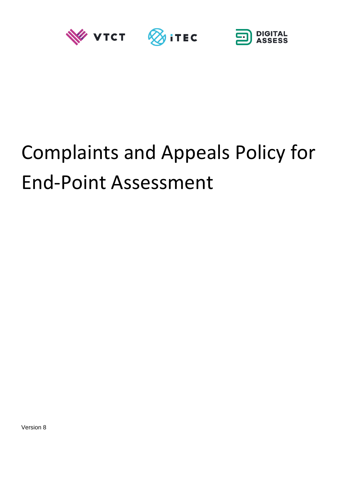





# Complaints and Appeals Policy for End-Point Assessment

Version 8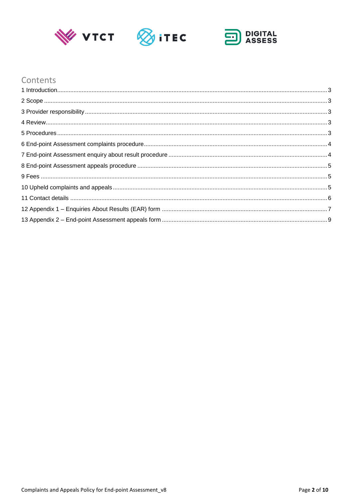





# Contents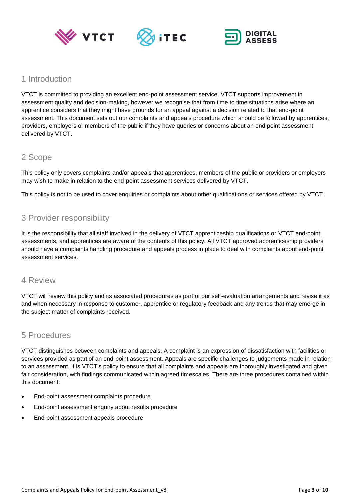





# <span id="page-2-0"></span>1 Introduction

VTCT is committed to providing an excellent end-point assessment service. VTCT supports improvement in assessment quality and decision-making, however we recognise that from time to time situations arise where an apprentice considers that they might have grounds for an appeal against a decision related to that end-point assessment. This document sets out our complaints and appeals procedure which should be followed by apprentices, providers, employers or members of the public if they have queries or concerns about an end-point assessment delivered by VTCT.

# <span id="page-2-1"></span>2 Scope

This policy only covers complaints and/or appeals that apprentices, members of the public or providers or employers may wish to make in relation to the end-point assessment services delivered by VTCT.

This policy is not to be used to cover enquiries or complaints about other qualifications or services offered by VTCT.

# <span id="page-2-2"></span>3 Provider responsibility

It is the responsibility that all staff involved in the delivery of VTCT apprenticeship qualifications or VTCT end-point assessments, and apprentices are aware of the contents of this policy. All VTCT approved apprenticeship providers should have a complaints handling procedure and appeals process in place to deal with complaints about end-point assessment services.

## <span id="page-2-3"></span>4 Review

VTCT will review this policy and its associated procedures as part of our self-evaluation arrangements and revise it as and when necessary in response to customer, apprentice or regulatory feedback and any trends that may emerge in the subject matter of complaints received.

## <span id="page-2-4"></span>5 Procedures

VTCT distinguishes between complaints and appeals. A complaint is an expression of dissatisfaction with facilities or services provided as part of an end-point assessment. Appeals are specific challenges to judgements made in relation to an assessment. It is VTCT's policy to ensure that all complaints and appeals are thoroughly investigated and given fair consideration, with findings communicated within agreed timescales. There are three procedures contained within this document:

- End-point assessment complaints procedure
- End-point assessment enquiry about results procedure
- End-point assessment appeals procedure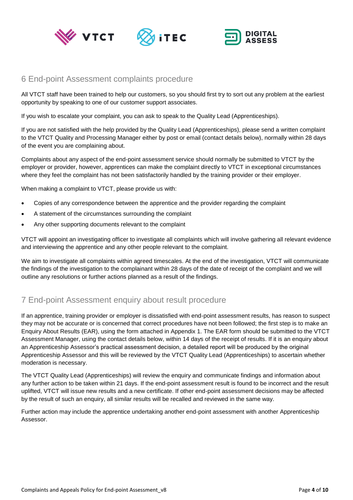





## <span id="page-3-0"></span>6 End-point Assessment complaints procedure

All VTCT staff have been trained to help our customers, so you should first try to sort out any problem at the earliest opportunity by speaking to one of our customer support associates.

If you wish to escalate your complaint, you can ask to speak to the Quality Lead (Apprenticeships).

If you are not satisfied with the help provided by the Quality Lead (Apprenticeships), please send a written complaint to the VTCT Quality and Processing Manager either by post or email (contact details below), normally within 28 days of the event you are complaining about.

Complaints about any aspect of the end-point assessment service should normally be submitted to VTCT by the employer or provider, however, apprentices can make the complaint directly to VTCT in exceptional circumstances where they feel the complaint has not been satisfactorily handled by the training provider or their employer.

When making a complaint to VTCT, please provide us with:

- Copies of any correspondence between the apprentice and the provider regarding the complaint
- A statement of the circumstances surrounding the complaint
- Any other supporting documents relevant to the complaint

VTCT will appoint an investigating officer to investigate all complaints which will involve gathering all relevant evidence and interviewing the apprentice and any other people relevant to the complaint.

We aim to investigate all complaints within agreed timescales. At the end of the investigation, VTCT will communicate the findings of the investigation to the complainant within 28 days of the date of receipt of the complaint and we will outline any resolutions or further actions planned as a result of the findings.

## <span id="page-3-1"></span>7 End-point Assessment enquiry about result procedure

If an apprentice, training provider or employer is dissatisfied with end-point assessment results, has reason to suspect they may not be accurate or is concerned that correct procedures have not been followed; the first step is to make an Enquiry About Results (EAR), using the form attached in Appendix 1. The EAR form should be submitted to the VTCT Assessment Manager, using the contact details below, within 14 days of the receipt of results. If it is an enquiry about an Apprenticeship Assessor's practical assessment decision, a detailed report will be produced by the original Apprenticeship Assessor and this will be reviewed by the VTCT Quality Lead (Apprenticeships) to ascertain whether moderation is necessary.

The VTCT Quality Lead (Apprenticeships) will review the enquiry and communicate findings and information about any further action to be taken within 21 days. If the end-point assessment result is found to be incorrect and the result uplifted, VTCT will issue new results and a new certificate. If other end-point assessment decisions may be affected by the result of such an enquiry, all similar results will be recalled and reviewed in the same way.

Further action may include the apprentice undertaking another end-point assessment with another Apprenticeship Assessor.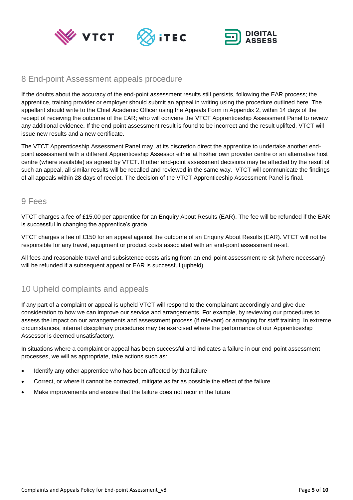





## <span id="page-4-0"></span>8 End-point Assessment appeals procedure

If the doubts about the accuracy of the end-point assessment results still persists, following the EAR process; the apprentice, training provider or employer should submit an appeal in writing using the procedure outlined here. The appellant should write to the Chief Academic Officer using the Appeals Form in Appendix 2, within 14 days of the receipt of receiving the outcome of the EAR; who will convene the VTCT Apprenticeship Assessment Panel to review any additional evidence. If the end-point assessment result is found to be incorrect and the result uplifted, VTCT will issue new results and a new certificate.

The VTCT Apprenticeship Assessment Panel may, at its discretion direct the apprentice to undertake another endpoint assessment with a different Apprenticeship Assessor either at his/her own provider centre or an alternative host centre (where available) as agreed by VTCT. If other end-point assessment decisions may be affected by the result of such an appeal, all similar results will be recalled and reviewed in the same way. VTCT will communicate the findings of all appeals within 28 days of receipt. The decision of the VTCT Apprenticeship Assessment Panel is final.

#### <span id="page-4-1"></span>9 Fees

VTCT charges a fee of £15.00 per apprentice for an Enquiry About Results (EAR). The fee will be refunded if the EAR is successful in changing the apprentice's grade.

VTCT charges a fee of £150 for an appeal against the outcome of an Enquiry About Results (EAR). VTCT will not be responsible for any travel, equipment or product costs associated with an end-point assessment re-sit.

All fees and reasonable travel and subsistence costs arising from an end-point assessment re-sit (where necessary) will be refunded if a subsequent appeal or EAR is successful (upheld).

# <span id="page-4-2"></span>10 Upheld complaints and appeals

If any part of a complaint or appeal is upheld VTCT will respond to the complainant accordingly and give due consideration to how we can improve our service and arrangements. For example, by reviewing our procedures to assess the impact on our arrangements and assessment process (if relevant) or arranging for staff training. In extreme circumstances, internal disciplinary procedures may be exercised where the performance of our Apprenticeship Assessor is deemed unsatisfactory.

In situations where a complaint or appeal has been successful and indicates a failure in our end-point assessment processes, we will as appropriate, take actions such as:

- Identify any other apprentice who has been affected by that failure
- Correct, or where it cannot be corrected, mitigate as far as possible the effect of the failure
- Make improvements and ensure that the failure does not recur in the future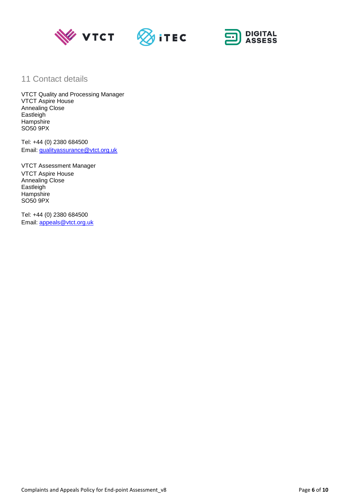





## <span id="page-5-0"></span>11 Contact details

VTCT Quality and Processing Manager VTCT Aspire House Annealing Close **Eastleigh** Hampshire SO50 9PX

Tel: +44 (0) 2380 684500 Email: [qualityassurance@vtct.org.uk](mailto:qualityassurance@vtct.org.uk)

VTCT Assessment Manager VTCT Aspire House Annealing Close **Eastleigh Hampshire** SO50 9PX

Tel: +44 (0) 2380 684500 Email: [appeals@vtct.org.uk](mailto:appeals@vtct.org.uk)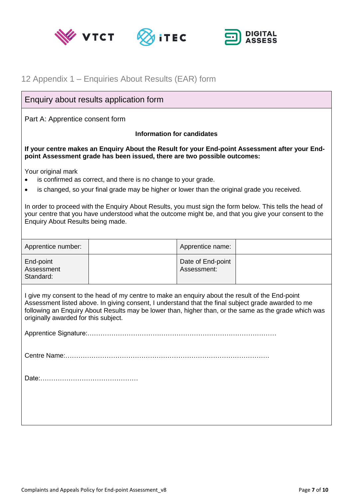





# <span id="page-6-0"></span>12 Appendix 1 – Enquiries About Results (EAR) form

## Enquiry about results application form

Part A: Apprentice consent form

#### **Information for candidates**

**If your centre makes an Enquiry About the Result for your End-point Assessment after your Endpoint Assessment grade has been issued, there are two possible outcomes:** 

Your original mark

- is confirmed as correct, and there is no change to your grade.
- is changed, so your final grade may be higher or lower than the original grade you received.

In order to proceed with the Enquiry About Results, you must sign the form below. This tells the head of your centre that you have understood what the outcome might be, and that you give your consent to the Enquiry About Results being made.

| Apprentice number:                                                                                                                                                                                                                                                                                                                                      |  | Apprentice name:                 |  |
|---------------------------------------------------------------------------------------------------------------------------------------------------------------------------------------------------------------------------------------------------------------------------------------------------------------------------------------------------------|--|----------------------------------|--|
| End-point<br>Assessment<br>Standard:                                                                                                                                                                                                                                                                                                                    |  | Date of End-point<br>Assessment: |  |
| I give my consent to the head of my centre to make an enquiry about the result of the End-point<br>Assessment listed above. In giving consent, I understand that the final subject grade awarded to me<br>following an Enquiry About Results may be lower than, higher than, or the same as the grade which was<br>originally awarded for this subject. |  |                                  |  |
|                                                                                                                                                                                                                                                                                                                                                         |  |                                  |  |
|                                                                                                                                                                                                                                                                                                                                                         |  |                                  |  |
|                                                                                                                                                                                                                                                                                                                                                         |  |                                  |  |
|                                                                                                                                                                                                                                                                                                                                                         |  |                                  |  |
|                                                                                                                                                                                                                                                                                                                                                         |  |                                  |  |
|                                                                                                                                                                                                                                                                                                                                                         |  |                                  |  |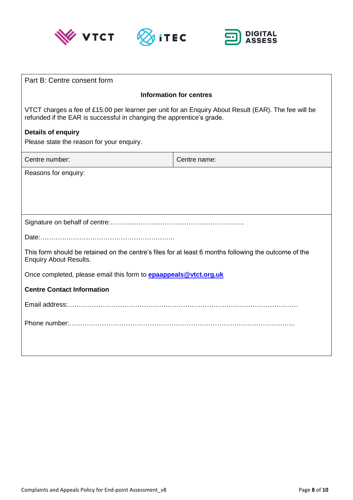





| Part B: Centre consent form                                                                                                                                                   |                                |  |
|-------------------------------------------------------------------------------------------------------------------------------------------------------------------------------|--------------------------------|--|
|                                                                                                                                                                               | <b>Information for centres</b> |  |
| VTCT charges a fee of £15.00 per learner per unit for an Enquiry About Result (EAR). The fee will be<br>refunded if the EAR is successful in changing the apprentice's grade. |                                |  |
| <b>Details of enquiry</b><br>Please state the reason for your enquiry.                                                                                                        |                                |  |
| Centre number:                                                                                                                                                                | Centre name:                   |  |
| Reasons for enquiry:                                                                                                                                                          |                                |  |
|                                                                                                                                                                               |                                |  |
|                                                                                                                                                                               |                                |  |
|                                                                                                                                                                               |                                |  |
| This form should be retained on the centre's files for at least 6 months following the outcome of the<br><b>Enquiry About Results.</b>                                        |                                |  |
| Once completed, please email this form to <b>epaappeals@vtct.org.uk</b>                                                                                                       |                                |  |
| <b>Centre Contact Information</b>                                                                                                                                             |                                |  |
|                                                                                                                                                                               |                                |  |
|                                                                                                                                                                               |                                |  |
|                                                                                                                                                                               |                                |  |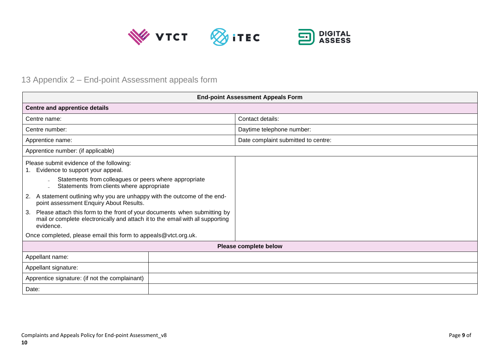

# 13 Appendix 2 – End-point Assessment appeals form

<span id="page-8-0"></span>

| <b>End-point Assessment Appeals Form</b>                                                                                                                                       |                                     |  |
|--------------------------------------------------------------------------------------------------------------------------------------------------------------------------------|-------------------------------------|--|
| <b>Centre and apprentice details</b>                                                                                                                                           |                                     |  |
| Centre name:                                                                                                                                                                   | Contact details:                    |  |
| Centre number:                                                                                                                                                                 | Daytime telephone number:           |  |
| Apprentice name:                                                                                                                                                               | Date complaint submitted to centre: |  |
| Apprentice number: (if applicable)                                                                                                                                             |                                     |  |
| Please submit evidence of the following:<br>1. Evidence to support your appeal.                                                                                                |                                     |  |
| Statements from colleagues or peers where appropriate<br>Statements from clients where appropriate                                                                             |                                     |  |
| 2. A statement outlining why you are unhappy with the outcome of the end-<br>point assessment Enquiry About Results.                                                           |                                     |  |
| Please attach this form to the front of your documents when submitting by<br>3.<br>mail or complete electronically and attach it to the email with all supporting<br>evidence. |                                     |  |
| Once completed, please email this form to appeals@vtct.org.uk.                                                                                                                 |                                     |  |
|                                                                                                                                                                                | Please complete below               |  |
| Appellant name:                                                                                                                                                                |                                     |  |
| Appellant signature:                                                                                                                                                           |                                     |  |
| Apprentice signature: (if not the complainant)                                                                                                                                 |                                     |  |
| Date:                                                                                                                                                                          |                                     |  |